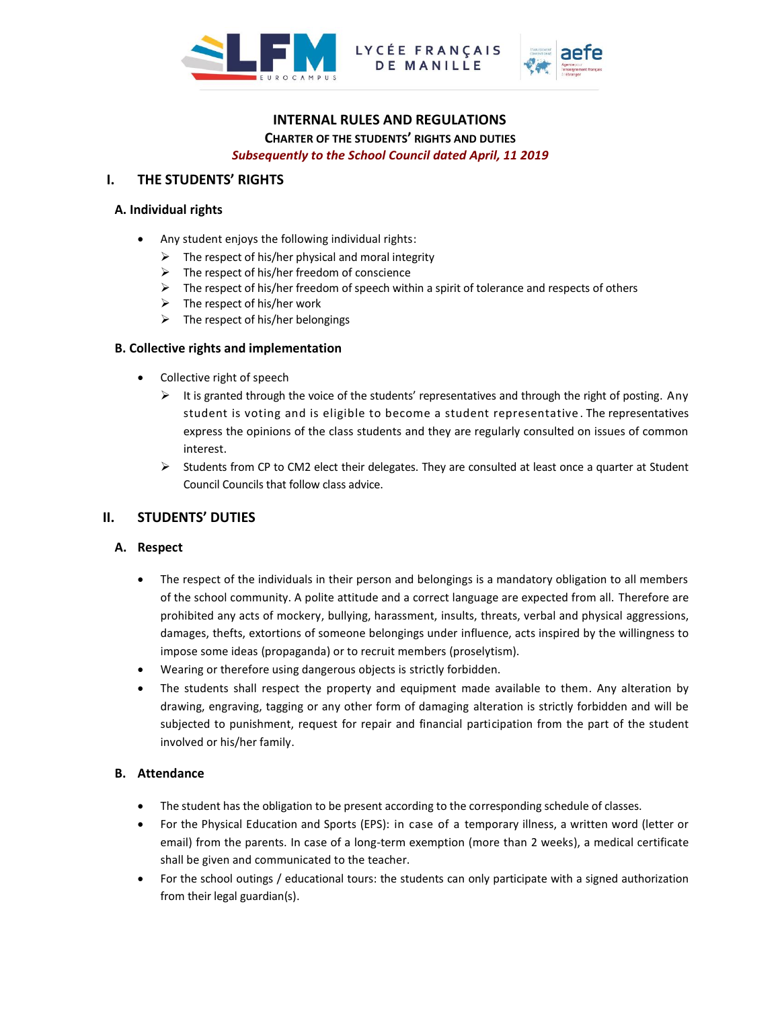



# **INTERNAL RULES AND REGULATIONS CHARTER OF THE STUDENTS' RIGHTS AND DUTIES**

LYCÉE FRANÇAIS

*Subsequently to the School Council dated April, 11 2019*

# **I. THE STUDENTS' RIGHTS**

## **A. Individual rights**

- Any student enjoys the following individual rights:
	- $\triangleright$  The respect of his/her physical and moral integrity
	- $\triangleright$  The respect of his/her freedom of conscience
	- $\triangleright$  The respect of his/her freedom of speech within a spirit of tolerance and respects of others
	- $\triangleright$  The respect of his/her work
	- $\triangleright$  The respect of his/her belongings

#### **B. Collective rights and implementation**

- Collective right of speech
	- $\triangleright$  It is granted through the voice of the students' representatives and through the right of posting. Any student is voting and is eligible to become a student representative . The representatives express the opinions of the class students and they are regularly consulted on issues of common interest.
	- $\triangleright$  Students from CP to CM2 elect their delegates. They are consulted at least once a quarter at Student Council Councils that follow class advice.

# **II. STUDENTS' DUTIES**

#### **A. Respect**

- The respect of the individuals in their person and belongings is a mandatory obligation to all members of the school community. A polite attitude and a correct language are expected from all. Therefore are prohibited any acts of mockery, bullying, harassment, insults, threats, verbal and physical aggressions, damages, thefts, extortions of someone belongings under influence, acts inspired by the willingness to impose some ideas (propaganda) or to recruit members (proselytism).
- Wearing or therefore using dangerous objects is strictly forbidden.
- The students shall respect the property and equipment made available to them. Any alteration by drawing, engraving, tagging or any other form of damaging alteration is strictly forbidden and will be subjected to punishment, request for repair and financial participation from the part of the student involved or his/her family.

# **B. Attendance**

- The student has the obligation to be present according to the corresponding schedule of classes.
- For the Physical Education and Sports (EPS): in case of a temporary illness, a written word (letter or email) from the parents. In case of a long-term exemption (more than 2 weeks), a medical certificate shall be given and communicated to the teacher.
- For the school outings / educational tours: the students can only participate with a signed authorization from their legal guardian(s).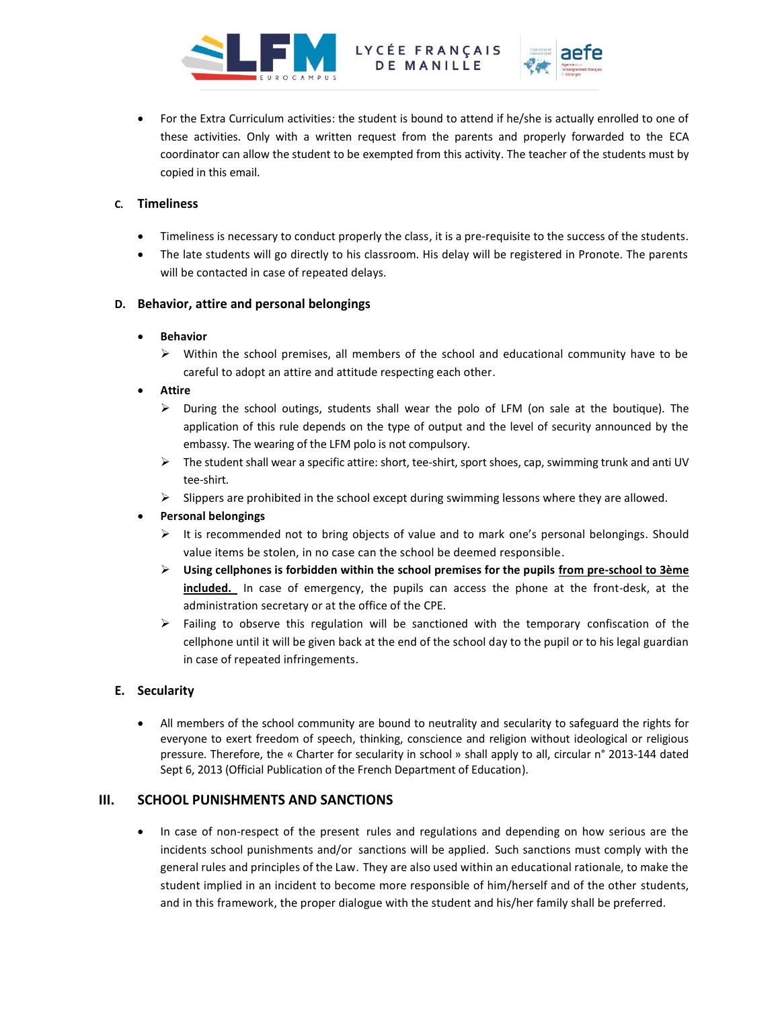



• For the Extra Curriculum activities: the student is bound to attend if he/she is actually enrolled to one of these activities. Only with a written request from the parents and properly forwarded to the ECA coordinator can allow the student to be exempted from this activity. The teacher of the students must by copied in this email.

## **C. Timeliness**

- Timeliness is necessary to conduct properly the class, it is a pre-requisite to the success of the students.
- The late students will go directly to his classroom. His delay will be registered in Pronote. The parents will be contacted in case of repeated delays.

#### **D. Behavior, attire and personal belongings**

#### • **Behavior**

- $\triangleright$  Within the school premises, all members of the school and educational community have to be careful to adopt an attire and attitude respecting each other.
- **Attire**
	- ➢ During the school outings, students shall wear the polo of LFM (on sale at the boutique). The application of this rule depends on the type of output and the level of security announced by the embassy. The wearing of the LFM polo is not compulsory.
	- ➢ The student shall wear a specific attire: short, tee-shirt, sport shoes, cap, swimming trunk and anti UV tee-shirt.
	- $\triangleright$  Slippers are prohibited in the school except during swimming lessons where they are allowed.

# • **Personal belongings**

- $\triangleright$  It is recommended not to bring objects of value and to mark one's personal belongings. Should value items be stolen, in no case can the school be deemed responsible.
- ➢ **Using cellphones is forbidden within the school premises for the pupils from pre-school to 3ème included.** In case of emergency, the pupils can access the phone at the front-desk, at the administration secretary or at the office of the CPE.
- ➢ Failing to observe this regulation will be sanctioned with the temporary confiscation of the cellphone until it will be given back at the end of the school day to the pupil or to his legal guardian in case of repeated infringements.

# **E. Secularity**

• All members of the school community are bound to neutrality and secularity to safeguard the rights for everyone to exert freedom of speech, thinking, conscience and religion without ideological or religious pressure. Therefore, the « Charter for secularity in school » shall apply to all, circular n° 2013-144 dated Sept 6, 2013 (Official Publication of the French Department of Education).

# **III. SCHOOL PUNISHMENTS AND SANCTIONS**

• In case of non-respect of the present rules and regulations and depending on how serious are the incidents school punishments and/or sanctions will be applied. Such sanctions must comply with the general rules and principles of the Law. They are also used within an educational rationale, to make the student implied in an incident to become more responsible of him/herself and of the other students, and in this framework, the proper dialogue with the student and his/her family shall be preferred.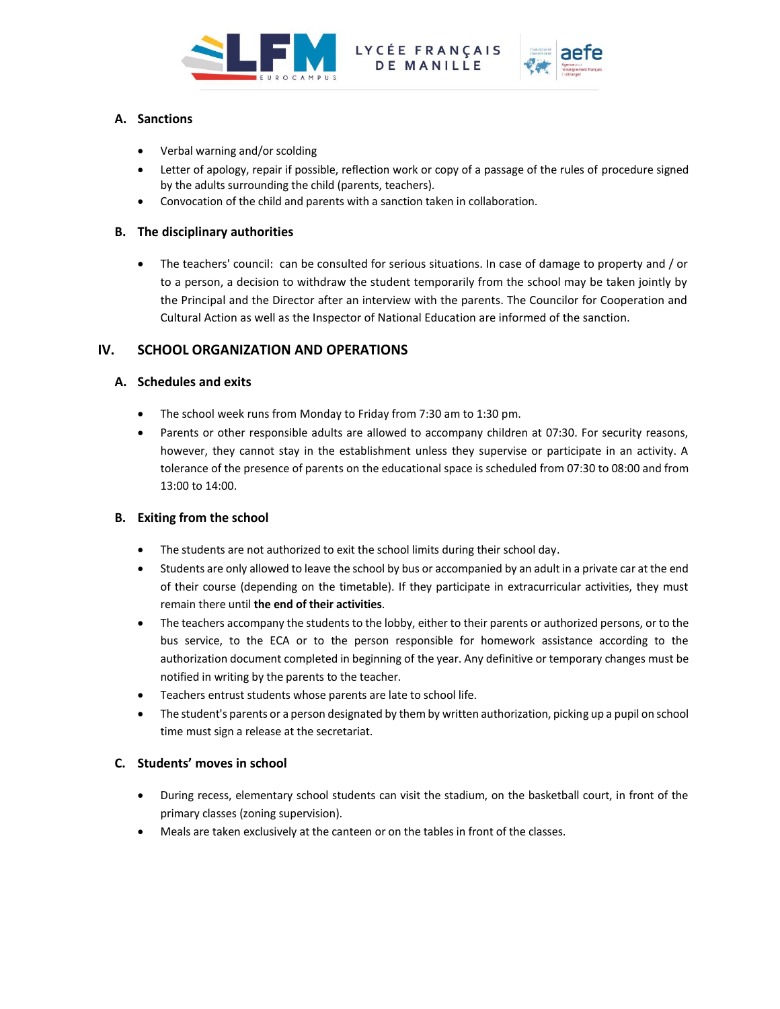



# **A. Sanctions**

- Verbal warning and/or scolding
- Letter of apology, repair if possible, reflection work or copy of a passage of the rules of procedure signed by the adults surrounding the child (parents, teachers).
- Convocation of the child and parents with a sanction taken in collaboration.

## **B. The disciplinary authorities**

• The teachers' council: can be consulted for serious situations. In case of damage to property and / or to a person, a decision to withdraw the student temporarily from the school may be taken jointly by the Principal and the Director after an interview with the parents. The Councilor for Cooperation and Cultural Action as well as the Inspector of National Education are informed of the sanction.

# **IV. SCHOOL ORGANIZATION AND OPERATIONS**

# **A. Schedules and exits**

- The school week runs from Monday to Friday from 7:30 am to 1:30 pm.
- Parents or other responsible adults are allowed to accompany children at 07:30. For security reasons, however, they cannot stay in the establishment unless they supervise or participate in an activity. A tolerance of the presence of parents on the educational space is scheduled from 07:30 to 08:00 and from 13:00 to 14:00.

# **B. Exiting from the school**

- The students are not authorized to exit the school limits during their school day.
- Students are only allowed to leave the school by bus or accompanied by an adult in a private car at the end of their course (depending on the timetable). If they participate in extracurricular activities, they must remain there until **the end of their activities**.
- The teachers accompany the students to the lobby, either to their parents or authorized persons, or to the bus service, to the ECA or to the person responsible for homework assistance according to the authorization document completed in beginning of the year. Any definitive or temporary changes must be notified in writing by the parents to the teacher.
- Teachers entrust students whose parents are late to school life.
- The student's parents or a person designated by them by written authorization, picking up a pupil on school time must sign a release at the secretariat.

# **C. Students' moves in school**

- During recess, elementary school students can visit the stadium, on the basketball court, in front of the primary classes (zoning supervision).
- Meals are taken exclusively at the canteen or on the tables in front of the classes.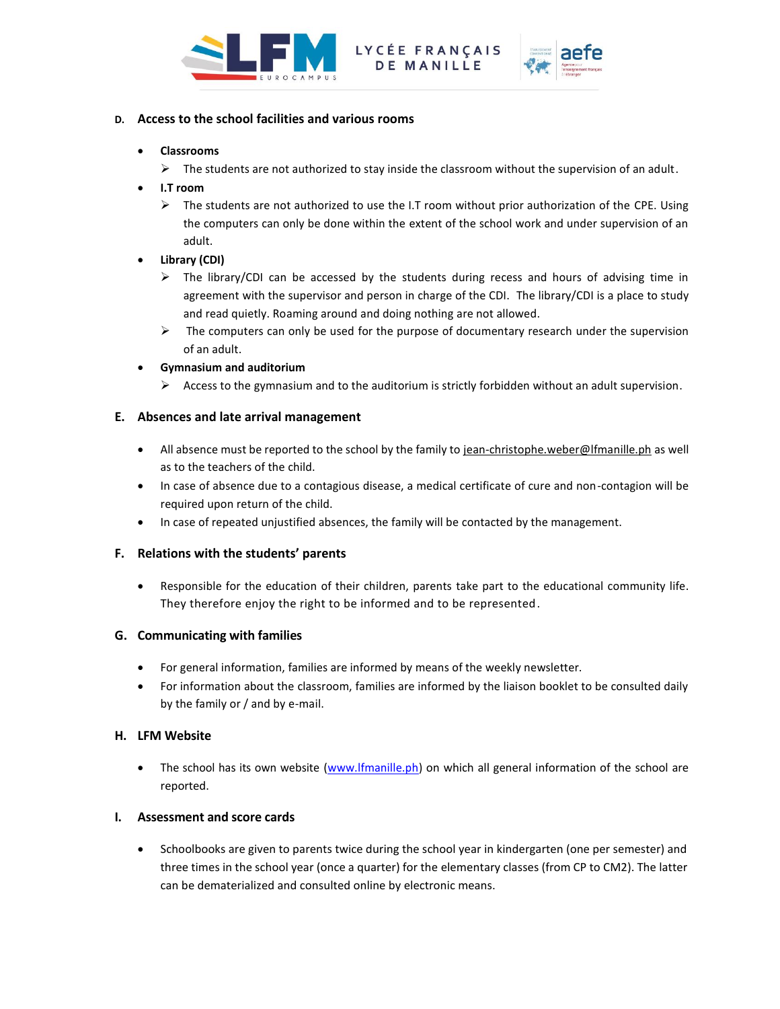



# **D. Access to the school facilities and various rooms**

#### • **Classrooms**

- $\triangleright$  The students are not authorized to stay inside the classroom without the supervision of an adult.
- **I.T room**
	- $\triangleright$  The students are not authorized to use the I.T room without prior authorization of the CPE. Using the computers can only be done within the extent of the school work and under supervision of an adult.
- **Library (CDI)**
	- $\triangleright$  The library/CDI can be accessed by the students during recess and hours of advising time in agreement with the supervisor and person in charge of the CDI. The library/CDI is a place to study and read quietly. Roaming around and doing nothing are not allowed.
	- $\triangleright$  The computers can only be used for the purpose of documentary research under the supervision of an adult.
- **Gymnasium and auditorium**
	- Access to the gymnasium and to the auditorium is strictly forbidden without an adult supervision.

#### **E. Absences and late arrival management**

- All absence must be reported to the school by the family to jean-christophe.weber@lfmanille.ph as well as to the teachers of the child.
- In case of absence due to a contagious disease, a medical certificate of cure and non-contagion will be required upon return of the child.
- In case of repeated unjustified absences, the family will be contacted by the management.

# **F. Relations with the students' parents**

• Responsible for the education of their children, parents take part to the educational community life. They therefore enjoy the right to be informed and to be represented.

#### **G. Communicating with families**

- For general information, families are informed by means of the weekly newsletter.
- For information about the classroom, families are informed by the liaison booklet to be consulted daily by the family or / and by e-mail.

#### **H. LFM Website**

• The school has its own website [\(www.lfmanille.ph\)](http://www.lfmanille.ph/) on which all general information of the school are reported.

#### **I. Assessment and score cards**

• Schoolbooks are given to parents twice during the school year in kindergarten (one per semester) and three times in the school year (once a quarter) for the elementary classes (from CP to CM2). The latter can be dematerialized and consulted online by electronic means.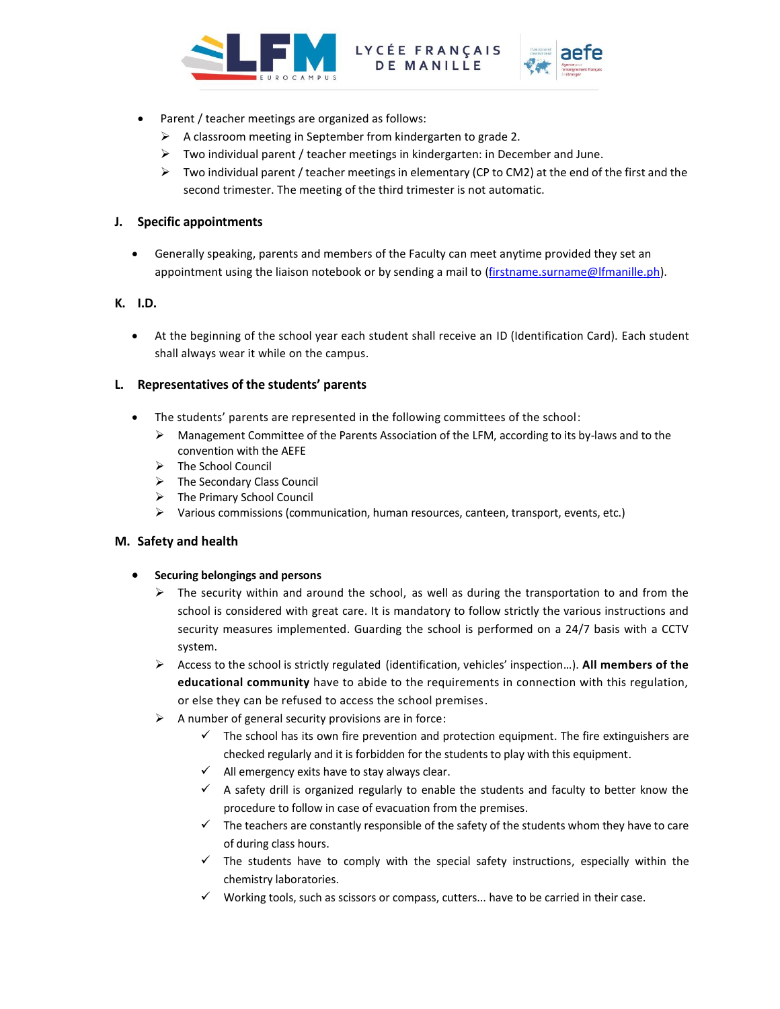



- Parent / teacher meetings are organized as follows:
	- ➢ A classroom meeting in September from kindergarten to grade 2.
	- ➢ Two individual parent / teacher meetings in kindergarten: in December and June.
	- $\triangleright$  Two individual parent / teacher meetings in elementary (CP to CM2) at the end of the first and the second trimester. The meeting of the third trimester is not automatic.

# **J. Specific appointments**

• Generally speaking, parents and members of the Faculty can meet anytime provided they set an appointment using the liaison notebook or by sending a mail to [\(firstname.surname@lfmanille.ph\)](mailto:firstname.surname@lfmanille.ph).

# **K. I.D.**

• At the beginning of the school year each student shall receive an ID (Identification Card). Each student shall always wear it while on the campus.

# **L. Representatives of the students' parents**

- The students' parents are represented in the following committees of the school:
	- ➢ Management Committee of the Parents Association of the LFM, according to its by-laws and to the convention with the AEFE
	- ➢ The School Council
	- ➢ The Secondary Class Council
	- ➢ The Primary School Council
	- ➢ Various commissions (communication, human resources, canteen, transport, events, etc.)

# **M. Safety and health**

- **Securing belongings and persons**
	- $\triangleright$  The security within and around the school, as well as during the transportation to and from the school is considered with great care. It is mandatory to follow strictly the various instructions and security measures implemented. Guarding the school is performed on a 24/7 basis with a CCTV system.
	- ➢ Access to the school is strictly regulated (identification, vehicles' inspection…). **All members of the educational community** have to abide to the requirements in connection with this regulation, or else they can be refused to access the school premises.
	- $\triangleright$  A number of general security provisions are in force:
		- $\checkmark$  The school has its own fire prevention and protection equipment. The fire extinguishers are checked regularly and it is forbidden for the students to play with this equipment.
		- $\checkmark$  All emergency exits have to stay always clear.
		- $\checkmark$  A safety drill is organized regularly to enable the students and faculty to better know the procedure to follow in case of evacuation from the premises.
		- $\checkmark$  The teachers are constantly responsible of the safety of the students whom they have to care of during class hours.
		- $\checkmark$  The students have to comply with the special safety instructions, especially within the chemistry laboratories.
		- $\checkmark$  Working tools, such as scissors or compass, cutters... have to be carried in their case.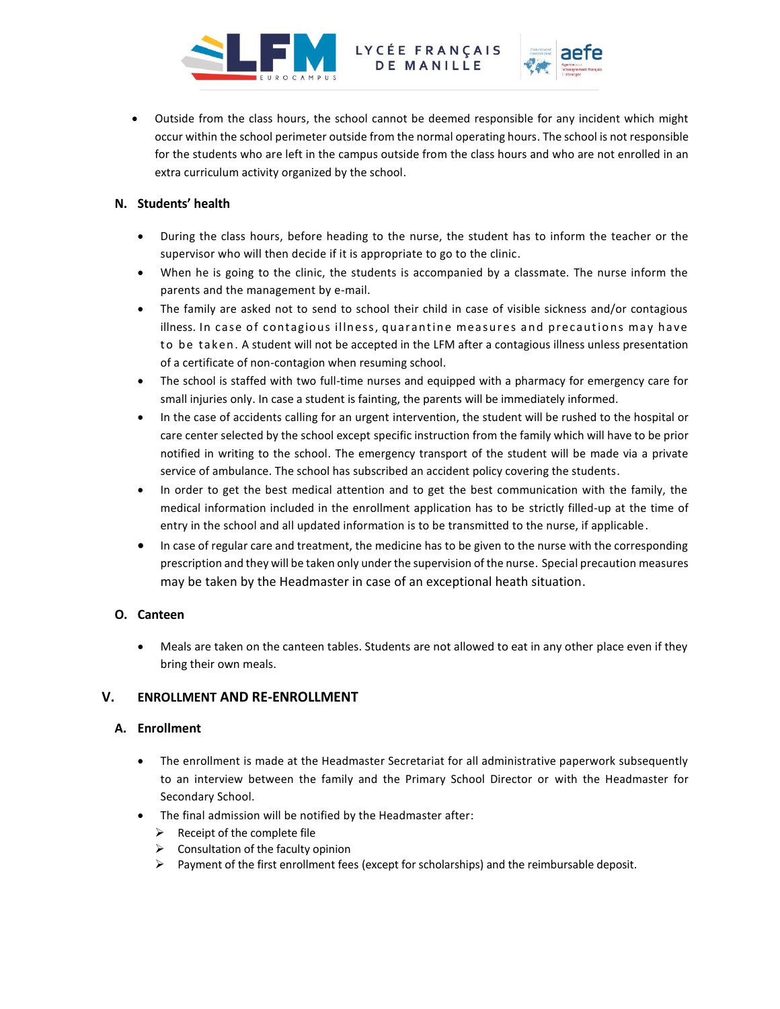



• Outside from the class hours, the school cannot be deemed responsible for any incident which might occur within the school perimeter outside from the normal operating hours. The school is not responsible for the students who are left in the campus outside from the class hours and who are not enrolled in an extra curriculum activity organized by the school.

# **N. Students' health**

- During the class hours, before heading to the nurse, the student has to inform the teacher or the supervisor who will then decide if it is appropriate to go to the clinic.
- When he is going to the clinic, the students is accompanied by a classmate. The nurse inform the parents and the management by e-mail.
- The family are asked not to send to school their child in case of visible sickness and/or contagious illness. In case of contagious illness, quarantine measures and precautions may have to be taken. A student will not be accepted in the LFM after a contagious illness unless presentation of a certificate of non-contagion when resuming school.
- The school is staffed with two full-time nurses and equipped with a pharmacy for emergency care for small injuries only. In case a student is fainting, the parents will be immediately informed.
- In the case of accidents calling for an urgent intervention, the student will be rushed to the hospital or care center selected by the school except specific instruction from the family which will have to be prior notified in writing to the school. The emergency transport of the student will be made via a private service of ambulance. The school has subscribed an accident policy covering the students.
- In order to get the best medical attention and to get the best communication with the family, the medical information included in the enrollment application has to be strictly filled-up at the time of entry in the school and all updated information is to be transmitted to the nurse, if applicable.
- In case of regular care and treatment, the medicine has to be given to the nurse with the corresponding prescription and they will be taken only under the supervision of the nurse. Special precaution measures may be taken by the Headmaster in case of an exceptional heath situation.

# **O. Canteen**

• Meals are taken on the canteen tables. Students are not allowed to eat in any other place even if they bring their own meals.

# **V. ENROLLMENT AND RE-ENROLLMENT**

# **A. Enrollment**

- The enrollment is made at the Headmaster Secretariat for all administrative paperwork subsequently to an interview between the family and the Primary School Director or with the Headmaster for Secondary School.
- The final admission will be notified by the Headmaster after:
	- $\triangleright$  Receipt of the complete file
	- $\triangleright$  Consultation of the faculty opinion
	- $\triangleright$  Payment of the first enrollment fees (except for scholarships) and the reimbursable deposit.